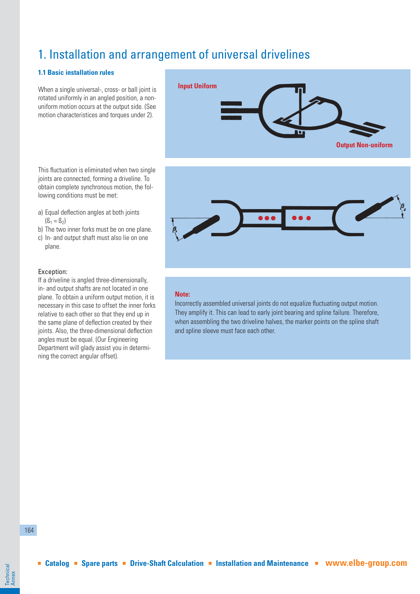# 1. Installation and arrangement of universal drivelines

# **1.1 Basic installation rules**

When a single universal-, cross- or ball joint is rotated uniformly in an angled position, a nonuniform motion occurs at the output side. (See motion characteristices and torques under 2).

This fluctuation is eliminated when two single joints are connected, forming a driveline. To obtain complete synchronous motion, the following conditions must be met:

- a) Equal deflection angles at both joints  $(S_1 = S_2)$
- b) The two inner forks must be on one plane.
- c) In- and output shaft must also lie on one plane.

### Exception:

If a driveline is angled three-dimensionally, in- and output shafts are not located in one plane. To obtain a uniform output motion, it is necessary in this case to offset the inner forks relative to each other so that they end up in the same plane of deflection created by their joints. Also, the three-dimensional deflection angles must be equal. (Our Engineering Department will glady assist you in determining the correct angular offset).





### **Note:**

Incorrectly assembled universal joints do not equalize fluctuating output motion. They amplify it. This can lead to early joint bearing and spline failure. Therefore, when assembling the two driveline halves, the marker points on the spline shaft and spline sleeve must face each other.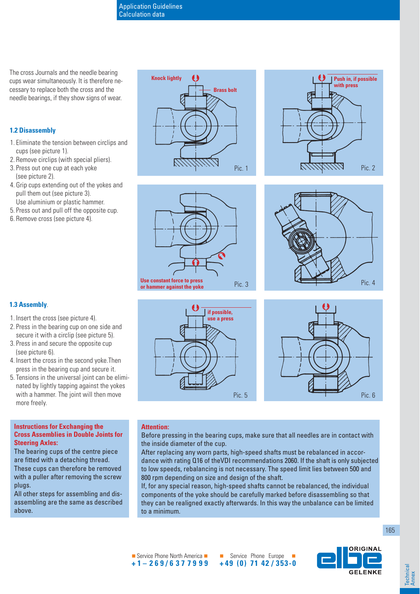The cross Journals and the needle bearing cups wear simultaneously. It is therefore necessary to replace both the cross and the needle bearings, if they show signs of wear.

# **1.2 Disassembly**

**1.3 Assembly**.

(see picture 6).

more freely.

**Steering Axles:**

- 1. Eliminate the tension between circlips and cups (see picture 1).
- 2. Remove circlips (with special pliers).
- 3. Press out one cup at each yoke (see picture 2).
- 4. Grip cups extending out of the yokes and pull them out (see picture 3). Use aluminium or plastic hammer.
- 5. Press out and pull off the opposite cup.
- 6. Remove cross (see picture 4).

1. Insert the cross (see picture 4).

2. Press in the bearing cup on one side and secure it with a circlip (see picture 5). 3. Press in and secure the opposite cup

4. Insert the cross in the second yoke.Then press in the bearing cup and secure it. 5. Tensions in the universal joint can be eliminated by lightly tapping against the yokes with a hammer. The joint will then move











### **Attention:**

Before pressing in the bearing cups, make sure that all needles are in contact with the inside diameter of the cup.

Pic. 5

After replacing any worn parts, high-speed shafts must be rebalanced in accordance with rating Q16 of theVDI recommendations 2060. If the shaft is only subjected to low speeds, rebalancing is not necessary. The speed limit lies between 500 and 800 rpm depending on size and design of the shaft.

If, for any special reason, high-speed shafts cannot be rebalanced, the individual components of the yoke should be carefully marked before disassembling so that they can be realigned exactly afterwards. In this way the unbalance can be limited to a minimum.



**Instructions for Exchanging the Cross Assemblies in Double Joints for** 

The bearing cups of the centre piece are fitted with a detaching thread. These cups can therefore be removed with a puller after removing the screw plugs.

All other steps for assembling and disassembling are the same as described above.





**Technical** Technica<br>Annex

Service Phone North America **+1–269/6377999**

 Service Phone Europe **+49 (0) 71 42 / 353-0**

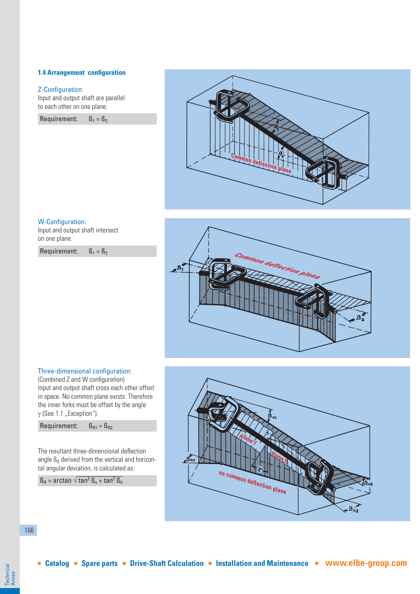# **1.4 Arrangement configuration**

### Z-Configuration:

Input and output shaft are parallel to each other on one plane.

Requirement:  $B_1 = B_2$ 



### W-Configuration:

Input and output shaft intersect on one plane.

Requirement:  $B_1 = B_2$ 



# Three-dimensional configuration:

(Combined Z and W configuration) Input and output shaft cross each other offset in space. No common plane exists. Therefore the inner forks must be offset by the angle  $\gamma$  (See 1.1 "Exception").



The resultant three-dimensional deflection angle  $\mathbb{S}_{\mathbb{R}}$  derived from the vertical and horizontal angular deviation, is calculated as:

 $\texttt{B}_{\texttt{R}}$  = arctan  $\sqrt{\tan^2 \texttt{B}_{\texttt{v}}} + \tan^2 \texttt{B}_{\texttt{h}}$ 



166

Technical Technical<br>Annex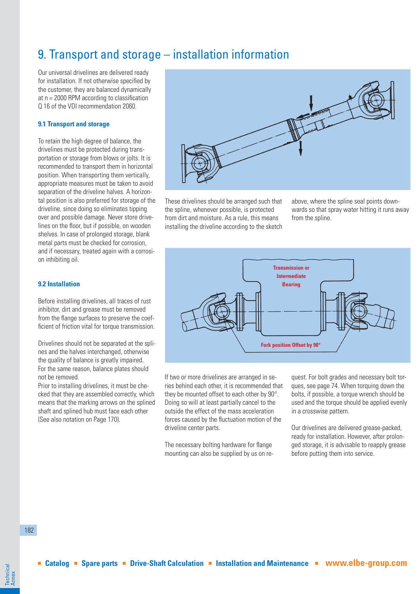# 9. Transport and storage – installation information

Our universal drivelines are delivered ready for installation. If not otherwise specified by the customer, they are balanced dynamically at  $n = 2000$  RPM according to classification Q 16 of the VDI recommendation 2060.

### **9.1 Transport and storage**

To retain the high degree of balance, the drivelines must be protected during transportation or storage from blows or jolts. It is recommended to transport them in horizontal position. When transporting them vertically, appropriate measures must be taken to avoid separation of the driveline halves. A horizontal position is also preferred for storage of the driveline, since doing so eliminates tipping over and possible damage. Never store drivelines on the floor, but if possible, on wooden shelves. In case of prolonged storage, blank metal parts must be checked for corrosion, and if necessary, treated again with a corrosion inhibiting oil.

### **9.2 Installation**

Before installing drivelines, all traces of rust inhibitor, dirt and grease must be removed from the flange surfaces to preserve the coefficient of friction vital for torque transmission.

Drivelines should not be separated at the splines and the halves interchanged, otherwise the quality of balance is greatly impaired. For the same reason, balance plates should not be removed.

Prior to installing drivelines, it must be checked that they are assembled correctly, which means that the marking arrows on the splined shaft and splined hub must face each other (See also notation on Page 170).



These drivelines should be arranged such that the spline, whenever possible, is protected from dirt and moisture. As a rule, this means installing the driveline according to the sketch above, where the spline seal points downwards so that spray water hitting it runs away from the spline.



If two or more drivelines are arranged in series behind each other, it is recommended that they be mounted offset to each other by 90°. Doing so will at least partially cancel to the outside the effect of the mass acceleration forces caused by the fluctuation motion of the driveline center parts.

The necessary bolting hardware for flange mounting can also be supplied by us on request. For bolt grades and necessary bolt torques, see page 74. When torquing down the bolts, if possible, a torque wrench should be used and the torque should be applied evenly in a crosswise pattern.

Our drivelines are delivered grease-packed, ready for installation. However, after prolonged storage, it is advisable to reapply grease before putting them into service.

182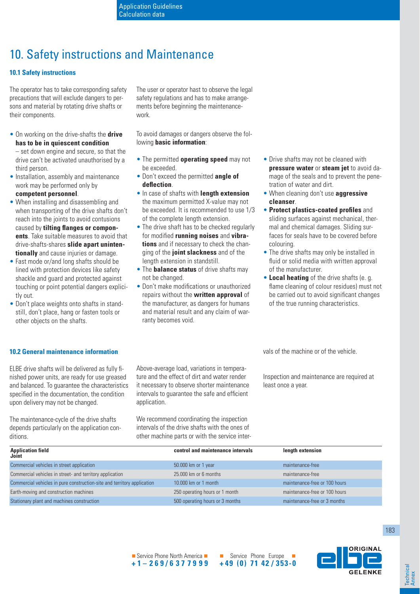# 10. Safety instructions and Maintenance

# **10.1 Safety instructions**

The operator has to take corresponding safety precautions that will exclude dangers to persons and material by rotating drive shafts or their components.

• On working on the drive-shafts the **drive has to be in quiescent condition** – set down engine and secure, so that the

drive can't be activated unauthorised by a third person.

- Installation, assembly and maintenance work may be performed only by **competent personnel**.
- When installing and disassembling and when transporting of the drive shafts don't reach into the joints to avoid contusions caused by **tilting flanges or components**. Take suitable measures to avoid that drive-shafts-shares **slide apart unintentionally** and cause injuries or damage.
- Fast mode or/and long shafts should be lined with protection devices like safety shackle and guard and protected against touching or point potential dangers explicitly out.
- Don't place weights onto shafts in standstill, don't place, hang or fasten tools or other objects on the shafts.

The user or operator hast to observe the legal safety regulations and has to make arrangements before beginning the maintenancework.

To avoid damages or dangers observe the following **basic information**:

- The permitted **operating speed** may not be exceeded.
- Don't exceed the permitted **angle of defl ection**.
- In case of shafts with **length extension** the maximum permitted X-value may not be exceeded. It is recommended to use 1/3 of the complete length extension.
- The drive shaft has to be checked regularly for modified **running noises** and **vibrations** and if necessary to check the changing of the **joint slackness** and of the length extension in standstill.
- The **balance status** of drive shafts may not be changed.
- Don't make modifications or unauthorized repairs without the **written approval** of the manufacturer, as dangers for humans and material result and any claim of warranty becomes void.
- Drive shafts may not be cleaned with **pressure water** or **steam jet** to avoid damage of the seals and to prevent the penetration of water and dirt.
- When cleaning don't use **aggressive cleanser**.
- **Protect plastics-coated profiles** and sliding surfaces against mechanical, thermal and chemical damages. Sliding surfaces for seals have to be covered before colouring.
- The drive shafts may only be installed in fluid or solid media with written approval of the manufacturer.
- **Local heating** of the drive shafts (e. g. flame cleaning of colour residues) must not be carried out to avoid significant changes of the true running characteristics.

**10.2 General maintenance information**

ELBE drive shafts will be delivered as fully finished power units, are ready for use greased and balanced. To guarantee the characteristics specified in the documentation, the condition upon delivery may not be changed.

The maintenance-cycle of the drive shafts depends particularly on the application conditions.

Above-average load, variations in temperature and the effect of dirt and water render it necessary to observe shorter maintenance intervals to quarantee the safe and efficient application.

We recommend coordinating the inspection intervals of the drive shafts with the ones of other machine parts or with the service intervals of the machine or of the vehicle.

Inspection and maintenance are required at least once a year.

| <b>Application field</b><br>Joint                                       | control and maintenance intervals | length extension              |
|-------------------------------------------------------------------------|-----------------------------------|-------------------------------|
| Commercial vehicles in street application                               | 50.000 km or 1 year               | maintenance-free              |
| Commercial vehicles in street- and territory application                | $25.000$ km or 6 months           | maintenance-free              |
| Commercial vehicles in pure construction-site and territory application | 10,000 km or 1 month              | maintenance-free or 100 hours |
| Earth-moving and construction machines                                  | 250 operating hours or 1 month    | maintenance-free or 100 hours |
| Stationary plant and machines construction                              | 500 operating hours or 3 months   | maintenance-free or 3 months  |



**GELENK** 

Service Phone North America **+1–269/6377999**

 Service Phone Europe **+49 (0) 71 42 / 353-0**